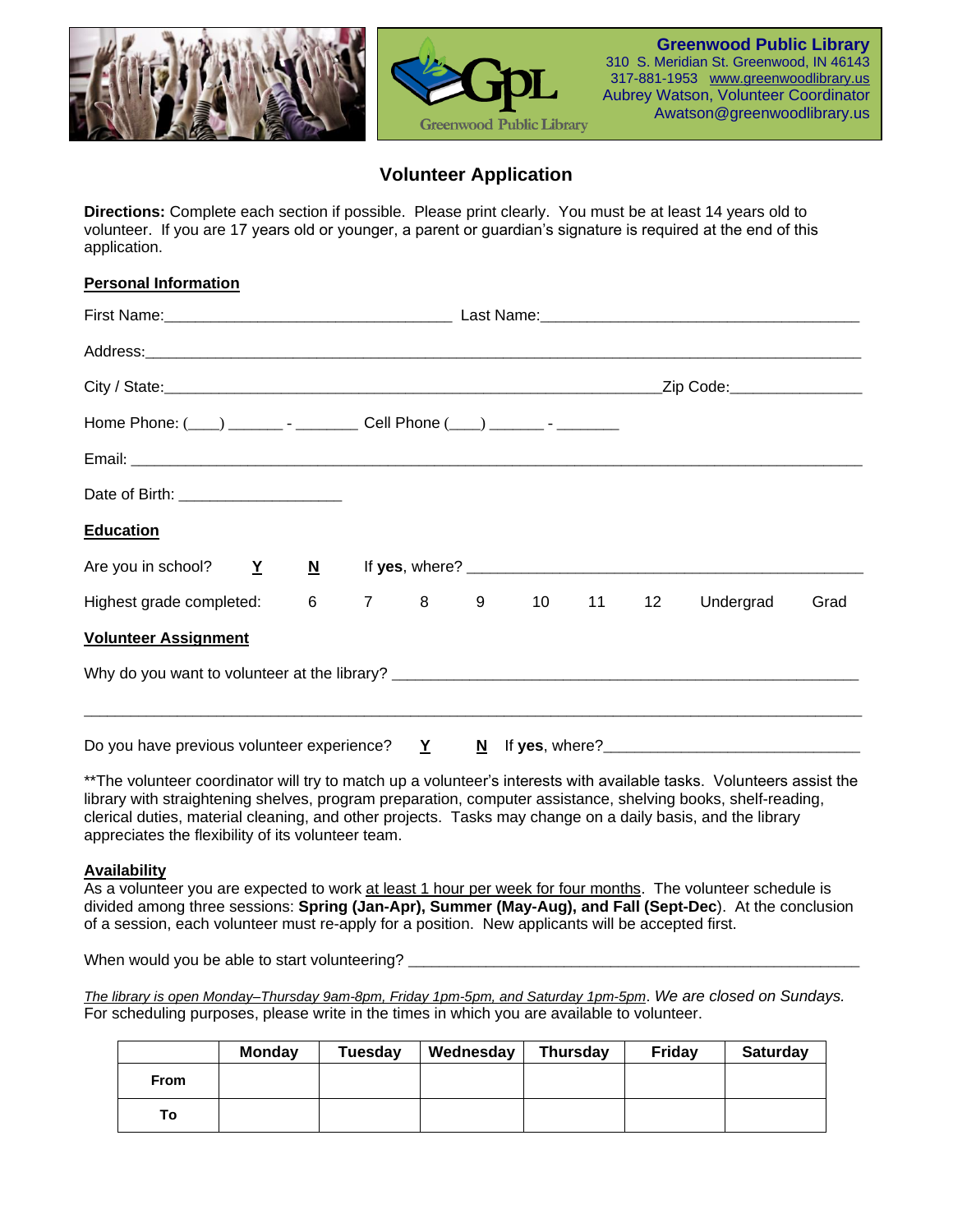

## **Volunteer Application**

**Directions:** Complete each section if possible. Please print clearly. You must be at least 14 years old to volunteer. If you are 17 years old or younger, a parent or guardian's signature is required at the end of this application.

| <b>Personal Information</b>                                                 |  |  |                  |  |           |      |
|-----------------------------------------------------------------------------|--|--|------------------|--|-----------|------|
|                                                                             |  |  |                  |  |           |      |
|                                                                             |  |  |                  |  |           |      |
|                                                                             |  |  |                  |  |           |      |
| Home Phone: (___) ________ - __________ Cell Phone (___) _______ - ________ |  |  |                  |  |           |      |
|                                                                             |  |  |                  |  |           |      |
| Date of Birth: ________________________                                     |  |  |                  |  |           |      |
| <b>Education</b>                                                            |  |  |                  |  |           |      |
| Are you in school? Y                                                        |  |  |                  |  |           |      |
| Highest grade completed:                                                    |  |  | 6 7 8 9 10 11 12 |  | Undergrad | Grad |
| <b>Volunteer Assignment</b>                                                 |  |  |                  |  |           |      |
|                                                                             |  |  |                  |  |           |      |
|                                                                             |  |  |                  |  |           |      |
| Do you have previous volunteer experience? $Y$ N If yes, where?             |  |  |                  |  |           |      |

\*\*The volunteer coordinator will try to match up a volunteer's interests with available tasks. Volunteers assist the library with straightening shelves, program preparation, computer assistance, shelving books, shelf-reading, clerical duties, material cleaning, and other projects. Tasks may change on a daily basis, and the library appreciates the flexibility of its volunteer team.

### **Availability**

As a volunteer you are expected to work at least 1 hour per week for four months. The volunteer schedule is divided among three sessions: **Spring (Jan-Apr), Summer (May-Aug), and Fall (Sept-Dec**). At the conclusion of a session, each volunteer must re-apply for a position. New applicants will be accepted first.

When would you be able to start volunteering?

*The library is open Monday–Thursday 9am-8pm, Friday 1pm-5pm, and Saturday 1pm-5pm*. *We are closed on Sundays.* For scheduling purposes, please write in the times in which you are available to volunteer.

|             | <b>Monday</b> | <b>Tuesday</b> | Wednesday | <b>Thursday</b> | Friday | Saturday |
|-------------|---------------|----------------|-----------|-----------------|--------|----------|
| <b>From</b> |               |                |           |                 |        |          |
| τо⊣         |               |                |           |                 |        |          |